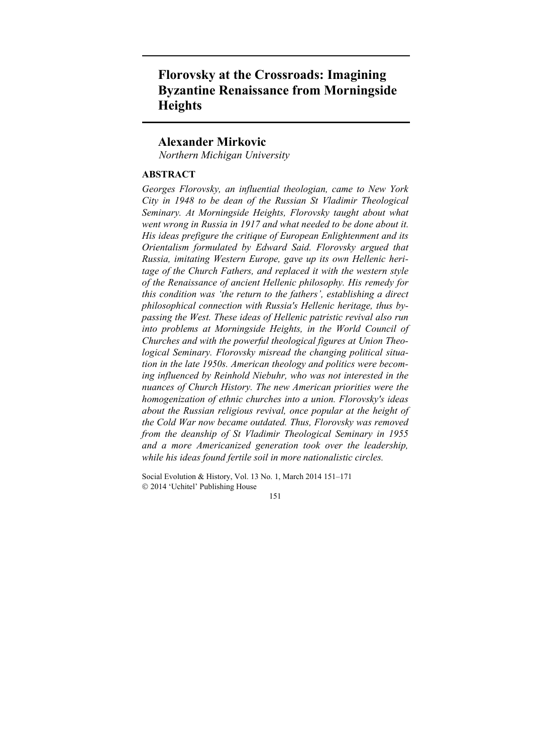## **Florovsky at the Crossroads: Imagining Byzantine Renaissance from Morningside Heights**

## **Alexander Mirkovic**

*Northern Michigan University* 

## **ABSTRACT**

*Georges Florovsky, an influential theologian, came to New York City in 1948 to be dean of the Russian St Vladimir Theological Seminary. At Morningside Heights, Florovsky taught about what went wrong in Russia in 1917 and what needed to be done about it. His ideas prefigure the critique of European Enlightenment and its Orientalism formulated by Edward Said. Florovsky argued that Russia, imitating Western Europe, gave up its own Hellenic heritage of the Church Fathers, and replaced it with the western style of the Renaissance of ancient Hellenic philosophy. His remedy for this condition was 'the return to the fathers', establishing a direct philosophical connection with Russia's Hellenic heritage, thus bypassing the West. These ideas of Hellenic patristic revival also run into problems at Morningside Heights, in the World Council of Churches and with the powerful theological figures at Union Theological Seminary. Florovsky misread the changing political situation in the late 1950s. American theology and politics were becoming influenced by Reinhold Niebuhr, who was not interested in the nuances of Church History. The new American priorities were the homogenization of ethnic churches into a union. Florovsky's ideas about the Russian religious revival, once popular at the height of the Cold War now became outdated. Thus, Florovsky was removed from the deanship of St Vladimir Theological Seminary in 1955 and a more Americanized generation took over the leadership, while his ideas found fertile soil in more nationalistic circles.* 

Social Evolution & History, Vol. 13 No. 1, March 2014 151–171 2014 'Uchitel' Publishing House

151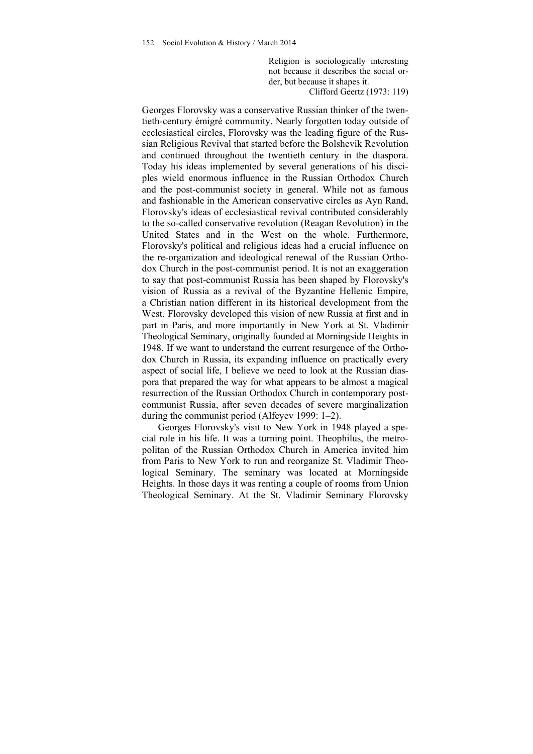Religion is sociologically interesting not because it describes the social order, but because it shapes it. Clifford Geertz (1973: 119)

Georges Florovsky was a conservative Russian thinker of the twentieth-century émigré community. Nearly forgotten today outside of ecclesiastical circles, Florovsky was the leading figure of the Russian Religious Revival that started before the Bolshevik Revolution and continued throughout the twentieth century in the diaspora. Today his ideas implemented by several generations of his disciples wield enormous influence in the Russian Orthodox Church and the post-communist society in general. While not as famous and fashionable in the American conservative circles as Ayn Rand, Florovsky's ideas of ecclesiastical revival contributed considerably to the so-called conservative revolution (Reagan Revolution) in the United States and in the West on the whole. Furthermore, Florovsky's political and religious ideas had a crucial influence on the re-organization and ideological renewal of the Russian Orthodox Church in the post-communist period. It is not an exaggeration to say that post-communist Russia has been shaped by Florovsky's vision of Russia as a revival of the Byzantine Hellenic Empire, a Christian nation different in its historical development from the West. Florovsky developed this vision of new Russia at first and in part in Paris, and more importantly in New York at St. Vladimir Theological Seminary, originally founded at Morningside Heights in 1948. If we want to understand the current resurgence of the Orthodox Church in Russia, its expanding influence on practically every aspect of social life, I believe we need to look at the Russian diaspora that prepared the way for what appears to be almost a magical resurrection of the Russian Orthodox Church in contemporary postcommunist Russia, after seven decades of severe marginalization during the communist period (Alfeyev 1999: 1–2).

Georges Florovsky's visit to New York in 1948 played a special role in his life. It was a turning point. Theophilus, the metropolitan of the Russian Orthodox Church in America invited him from Paris to New York to run and reorganize St. Vladimir Theological Seminary. The seminary was located at Morningside Heights. In those days it was renting a couple of rooms from Union Theological Seminary. At the St. Vladimir Seminary Florovsky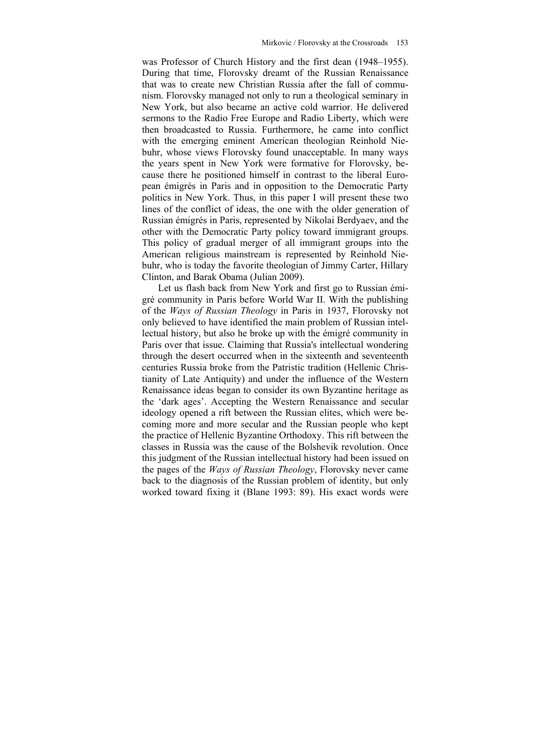was Professor of Church History and the first dean (1948–1955). During that time, Florovsky dreamt of the Russian Renaissance that was to create new Christian Russia after the fall of communism. Florovsky managed not only to run a theological seminary in New York, but also became an active cold warrior. He delivered sermons to the Radio Free Europe and Radio Liberty, which were then broadcasted to Russia. Furthermore, he came into conflict with the emerging eminent American theologian Reinhold Niebuhr, whose views Florovsky found unacceptable. In many ways the years spent in New York were formative for Florovsky, because there he positioned himself in contrast to the liberal European émigrés in Paris and in opposition to the Democratic Party politics in New York. Thus, in this paper I will present these two lines of the conflict of ideas, the one with the older generation of Russian émigrés in Paris, represented by Nikolai Berdyaev, and the other with the Democratic Party policy toward immigrant groups. This policy of gradual merger of all immigrant groups into the American religious mainstream is represented by Reinhold Niebuhr, who is today the favorite theologian of Jimmy Carter, Hillary Clinton, and Barak Obama (Julian 2009).

Let us flash back from New York and first go to Russian émigré community in Paris before World War II. With the publishing of the *Ways of Russian Theology* in Paris in 1937, Florovsky not only believed to have identified the main problem of Russian intellectual history, but also he broke up with the émigré community in Paris over that issue. Claiming that Russia's intellectual wondering through the desert occurred when in the sixteenth and seventeenth centuries Russia broke from the Patristic tradition (Hellenic Christianity of Late Antiquity) and under the influence of the Western Renaissance ideas began to consider its own Byzantine heritage as the 'dark ages'. Accepting the Western Renaissance and secular ideology opened a rift between the Russian elites, which were becoming more and more secular and the Russian people who kept the practice of Hellenic Byzantine Orthodoxy. This rift between the classes in Russia was the cause of the Bolshevik revolution. Once this judgment of the Russian intellectual history had been issued on the pages of the *Ways of Russian Theology*, Florovsky never came back to the diagnosis of the Russian problem of identity, but only worked toward fixing it (Blane 1993: 89). His exact words were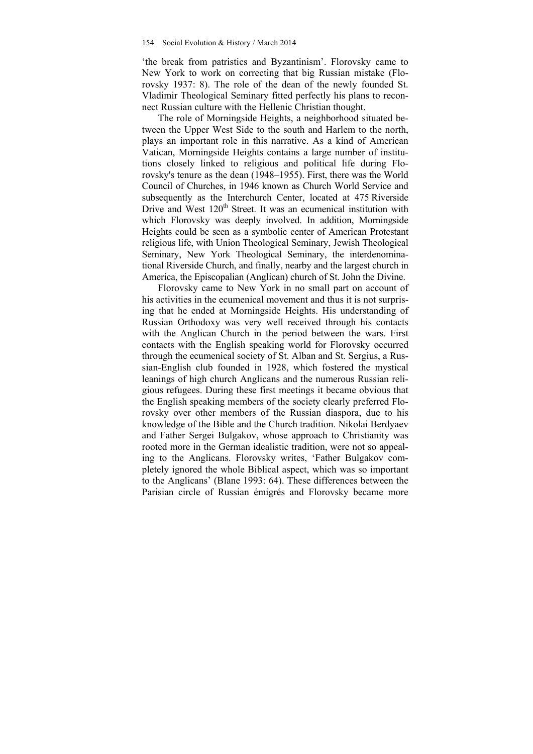'the break from patristics and Byzantinism'. Florovsky came to New York to work on correcting that big Russian mistake (Florovsky 1937: 8). The role of the dean of the newly founded St. Vladimir Theological Seminary fitted perfectly his plans to reconnect Russian culture with the Hellenic Christian thought.

The role of Morningside Heights, a neighborhood situated between the Upper West Side to the south and Harlem to the north, plays an important role in this narrative. As a kind of American Vatican, Morningside Heights contains a large number of institutions closely linked to religious and political life during Florovsky's tenure as the dean (1948–1955). First, there was the World Council of Churches, in 1946 known as Church World Service and subsequently as the Interchurch Center, located at 475 Riverside Drive and West  $120<sup>th</sup>$  Street. It was an ecumenical institution with which Florovsky was deeply involved. In addition, Morningside Heights could be seen as a symbolic center of American Protestant religious life, with Union Theological Seminary, Jewish Theological Seminary, New York Theological Seminary, the interdenominational Riverside Church, and finally, nearby and the largest church in America, the Episcopalian (Anglican) church of St. John the Divine.

Florovsky came to New York in no small part on account of his activities in the ecumenical movement and thus it is not surprising that he ended at Morningside Heights. His understanding of Russian Orthodoxy was very well received through his contacts with the Anglican Church in the period between the wars. First contacts with the English speaking world for Florovsky occurred through the ecumenical society of St. Alban and St. Sergius, a Russian-English club founded in 1928, which fostered the mystical leanings of high church Anglicans and the numerous Russian religious refugees. During these first meetings it became obvious that the English speaking members of the society clearly preferred Florovsky over other members of the Russian diaspora, due to his knowledge of the Bible and the Church tradition. Nikolai Berdyaev and Father Sergei Bulgakov, whose approach to Christianity was rooted more in the German idealistic tradition, were not so appealing to the Anglicans. Florovsky writes, 'Father Bulgakov completely ignored the whole Biblical aspect, which was so important to the Anglicans' (Blane 1993: 64). These differences between the Parisian circle of Russian émigrés and Florovsky became more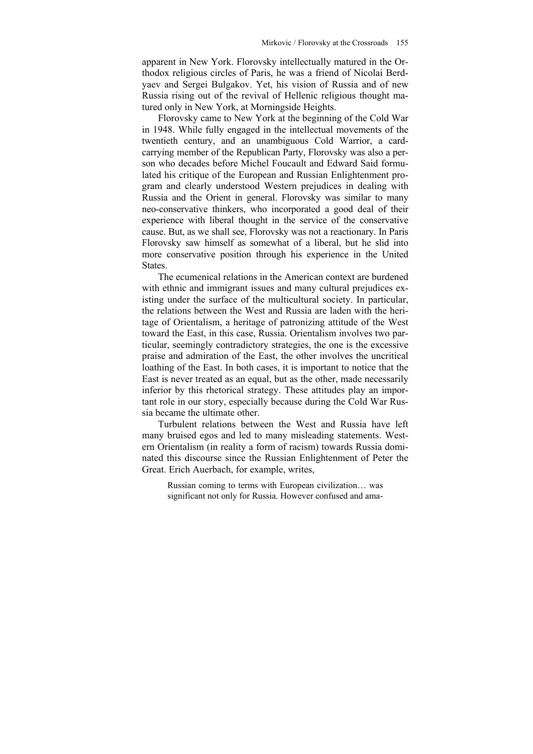apparent in New York. Florovsky intellectually matured in the Orthodox religious circles of Paris, he was a friend of Nicolai Berdyaev and Sergei Bulgakov. Yet, his vision of Russia and of new Russia rising out of the revival of Hellenic religious thought matured only in New York, at Morningside Heights.

Florovsky came to New York at the beginning of the Cold War in 1948. While fully engaged in the intellectual movements of the twentieth century, and an unambiguous Cold Warrior, a cardcarrying member of the Republican Party, Florovsky was also a person who decades before Michel Foucault and Edward Said formulated his critique of the European and Russian Enlightenment program and clearly understood Western prejudices in dealing with Russia and the Orient in general. Florovsky was similar to many neo-conservative thinkers, who incorporated a good deal of their experience with liberal thought in the service of the conservative cause. But, as we shall see, Florovsky was not a reactionary. In Paris Florovsky saw himself as somewhat of a liberal, but he slid into more conservative position through his experience in the United States.

The ecumenical relations in the American context are burdened with ethnic and immigrant issues and many cultural prejudices existing under the surface of the multicultural society. In particular, the relations between the West and Russia are laden with the heritage of Orientalism, a heritage of patronizing attitude of the West toward the East, in this case, Russia. Orientalism involves two particular, seemingly contradictory strategies, the one is the excessive praise and admiration of the East, the other involves the uncritical loathing of the East. In both cases, it is important to notice that the East is never treated as an equal, but as the other, made necessarily inferior by this rhetorical strategy. These attitudes play an important role in our story, especially because during the Cold War Russia became the ultimate other.

Turbulent relations between the West and Russia have left many bruised egos and led to many misleading statements. Western Orientalism (in reality a form of racism) towards Russia dominated this discourse since the Russian Enlightenment of Peter the Great. Erich Auerbach, for example, writes,

Russian coming to terms with European civilization… was significant not only for Russia. However confused and ama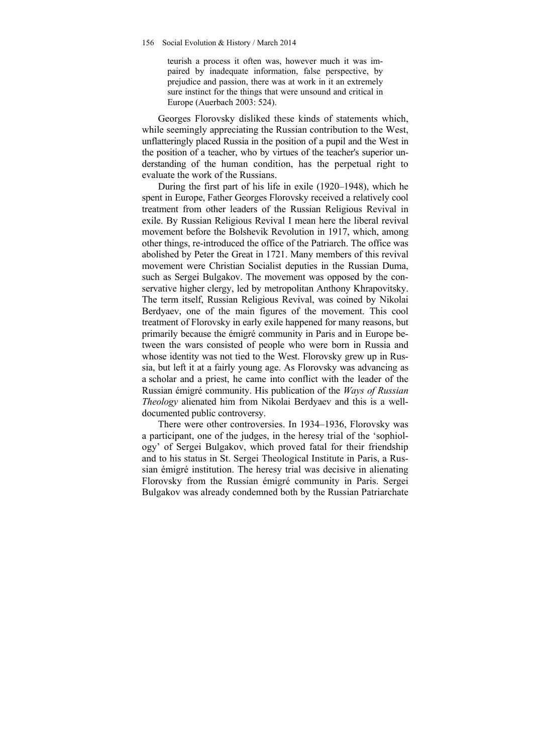teurish a process it often was, however much it was impaired by inadequate information, false perspective, by prejudice and passion, there was at work in it an extremely sure instinct for the things that were unsound and critical in Europe (Auerbach 2003: 524).

Georges Florovsky disliked these kinds of statements which, while seemingly appreciating the Russian contribution to the West, unflatteringly placed Russia in the position of a pupil and the West in the position of a teacher, who by virtues of the teacher's superior understanding of the human condition, has the perpetual right to evaluate the work of the Russians.

During the first part of his life in exile (1920–1948), which he spent in Europe, Father Georges Florovsky received a relatively cool treatment from other leaders of the Russian Religious Revival in exile. By Russian Religious Revival I mean here the liberal revival movement before the Bolshevik Revolution in 1917, which, among other things, re-introduced the office of the Patriarch. The office was abolished by Peter the Great in 1721. Many members of this revival movement were Christian Socialist deputies in the Russian Duma, such as Sergei Bulgakov. The movement was opposed by the conservative higher clergy, led by metropolitan Anthony Khrapovitsky. The term itself, Russian Religious Revival, was coined by Nikolai Berdyaev, one of the main figures of the movement. This cool treatment of Florovsky in early exile happened for many reasons, but primarily because the émigré community in Paris and in Europe between the wars consisted of people who were born in Russia and whose identity was not tied to the West. Florovsky grew up in Russia, but left it at a fairly young age. As Florovsky was advancing as a scholar and a priest, he came into conflict with the leader of the Russian émigré community. His publication of the *Ways of Russian Theology* alienated him from Nikolai Berdyaev and this is a welldocumented public controversy.

There were other controversies. In 1934–1936, Florovsky was a participant, one of the judges, in the heresy trial of the 'sophiology' of Sergei Bulgakov, which proved fatal for their friendship and to his status in St. Sergei Theological Institute in Paris, a Russian émigré institution. The heresy trial was decisive in alienating Florovsky from the Russian émigré community in Paris. Sergei Bulgakov was already condemned both by the Russian Patriarchate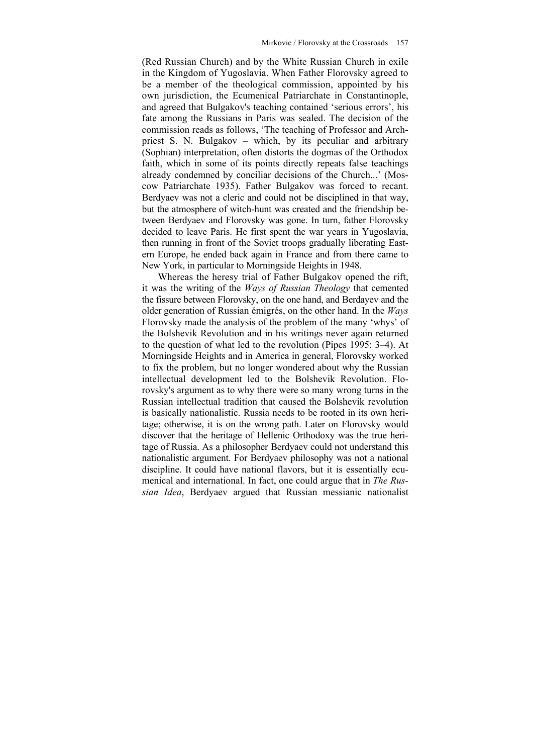(Red Russian Church) and by the White Russian Church in exile in the Kingdom of Yugoslavia. When Father Florovsky agreed to be a member of the theological commission, appointed by his own jurisdiction, the Ecumenical Patriarchate in Constantinople, and agreed that Bulgakov's teaching contained 'serious errors', his fate among the Russians in Paris was sealed. The decision of the commission reads as follows, 'The teaching of Professor and Archpriest S. N. Bulgakov – which, by its peculiar and arbitrary (Sophian) interpretation, often distorts the dogmas of the Orthodox faith, which in some of its points directly repeats false teachings already condemned by conciliar decisions of the Church...' (Moscow Patriarchate 1935). Father Bulgakov was forced to recant. Berdyaev was not a cleric and could not be disciplined in that way, but the atmosphere of witch-hunt was created and the friendship between Berdyaev and Florovsky was gone. In turn, father Florovsky decided to leave Paris. He first spent the war years in Yugoslavia, then running in front of the Soviet troops gradually liberating Eastern Europe, he ended back again in France and from there came to New York, in particular to Morningside Heights in 1948.

Whereas the heresy trial of Father Bulgakov opened the rift, it was the writing of the *Ways of Russian Theology* that cemented the fissure between Florovsky, on the one hand, and Berdayev and the older generation of Russian émigrés, on the other hand. In the *Ways* Florovsky made the analysis of the problem of the many 'whys' of the Bolshevik Revolution and in his writings never again returned to the question of what led to the revolution (Pipes 1995: 3–4). At Morningside Heights and in America in general, Florovsky worked to fix the problem, but no longer wondered about why the Russian intellectual development led to the Bolshevik Revolution. Florovsky's argument as to why there were so many wrong turns in the Russian intellectual tradition that caused the Bolshevik revolution is basically nationalistic. Russia needs to be rooted in its own heritage; otherwise, it is on the wrong path. Later on Florovsky would discover that the heritage of Hellenic Orthodoxy was the true heritage of Russia. As a philosopher Berdyaev could not understand this nationalistic argument. For Berdyaev philosophy was not a national discipline. It could have national flavors, but it is essentially ecumenical and international. In fact, one could argue that in *The Russian Idea*, Berdyaev argued that Russian messianic nationalist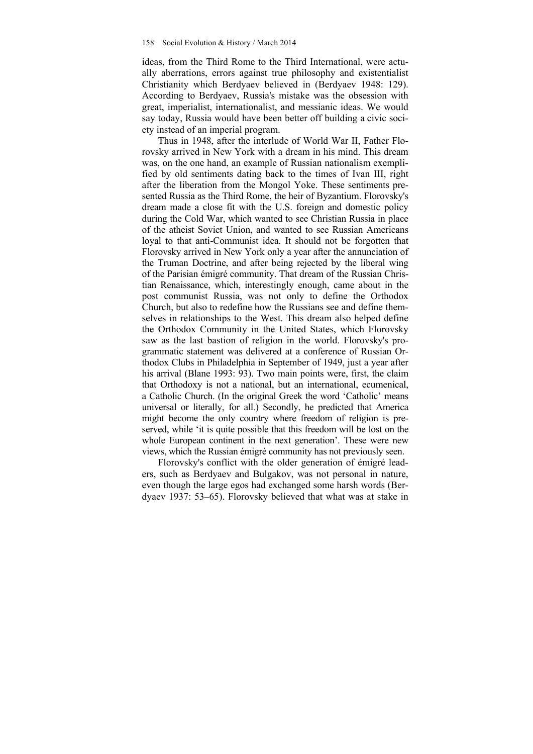ideas, from the Third Rome to the Third International, were actually aberrations, errors against true philosophy and existentialist Christianity which Berdyaev believed in (Berdyaev 1948: 129). According to Berdyaev, Russia's mistake was the obsession with great, imperialist, internationalist, and messianic ideas. We would say today, Russia would have been better off building a civic society instead of an imperial program.

Thus in 1948, after the interlude of World War II, Father Florovsky arrived in New York with a dream in his mind. This dream was, on the one hand, an example of Russian nationalism exemplified by old sentiments dating back to the times of Ivan III, right after the liberation from the Mongol Yoke. These sentiments presented Russia as the Third Rome, the heir of Byzantium. Florovsky's dream made a close fit with the U.S. foreign and domestic policy during the Cold War, which wanted to see Christian Russia in place of the atheist Soviet Union, and wanted to see Russian Americans loyal to that anti-Communist idea. It should not be forgotten that Florovsky arrived in New York only a year after the annunciation of the Truman Doctrine, and after being rejected by the liberal wing of the Parisian émigré community. That dream of the Russian Christian Renaissance, which, interestingly enough, came about in the post communist Russia, was not only to define the Orthodox Church, but also to redefine how the Russians see and define themselves in relationships to the West. This dream also helped define the Orthodox Community in the United States, which Florovsky saw as the last bastion of religion in the world. Florovsky's programmatic statement was delivered at a conference of Russian Orthodox Clubs in Philadelphia in September of 1949, just a year after his arrival (Blane 1993: 93). Two main points were, first, the claim that Orthodoxy is not a national, but an international, ecumenical, a Catholic Church. (In the original Greek the word 'Catholic' means universal or literally, for all.) Secondly, he predicted that America might become the only country where freedom of religion is preserved, while 'it is quite possible that this freedom will be lost on the whole European continent in the next generation'. These were new views, which the Russian émigré community has not previously seen.

Florovsky's conflict with the older generation of émigré leaders, such as Berdyaev and Bulgakov, was not personal in nature, even though the large egos had exchanged some harsh words (Berdyaev 1937: 53–65). Florovsky believed that what was at stake in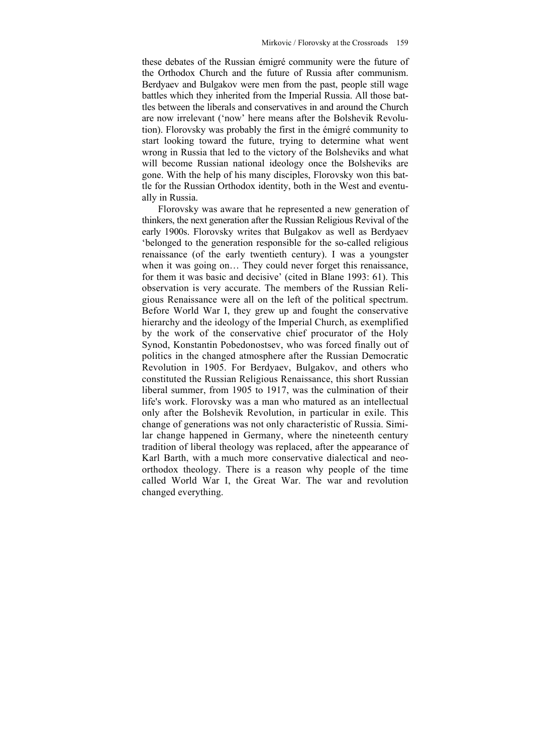these debates of the Russian émigré community were the future of the Orthodox Church and the future of Russia after communism. Berdyaev and Bulgakov were men from the past, people still wage battles which they inherited from the Imperial Russia. All those battles between the liberals and conservatives in and around the Church are now irrelevant ('now' here means after the Bolshevik Revolution). Florovsky was probably the first in the émigré community to start looking toward the future, trying to determine what went wrong in Russia that led to the victory of the Bolsheviks and what will become Russian national ideology once the Bolsheviks are gone. With the help of his many disciples, Florovsky won this battle for the Russian Orthodox identity, both in the West and eventually in Russia.

Florovsky was aware that he represented a new generation of thinkers, the next generation after the Russian Religious Revival of the early 1900s. Florovsky writes that Bulgakov as well as Berdyaev 'belonged to the generation responsible for the so-called religious renaissance (of the early twentieth century). I was a youngster when it was going on... They could never forget this renaissance, for them it was basic and decisive' (cited in Blane 1993: 61). This observation is very accurate. The members of the Russian Religious Renaissance were all on the left of the political spectrum. Before World War I, they grew up and fought the conservative hierarchy and the ideology of the Imperial Church, as exemplified by the work of the conservative chief procurator of the Holy Synod, Konstantin Pobedonostsev, who was forced finally out of politics in the changed atmosphere after the Russian Democratic Revolution in 1905. For Berdyaev, Bulgakov, and others who constituted the Russian Religious Renaissance, this short Russian liberal summer, from 1905 to 1917, was the culmination of their life's work. Florovsky was a man who matured as an intellectual only after the Bolshevik Revolution, in particular in exile. This change of generations was not only characteristic of Russia. Similar change happened in Germany, where the nineteenth century tradition of liberal theology was replaced, after the appearance of Karl Barth, with a much more conservative dialectical and neoorthodox theology. There is a reason why people of the time called World War I, the Great War. The war and revolution changed everything.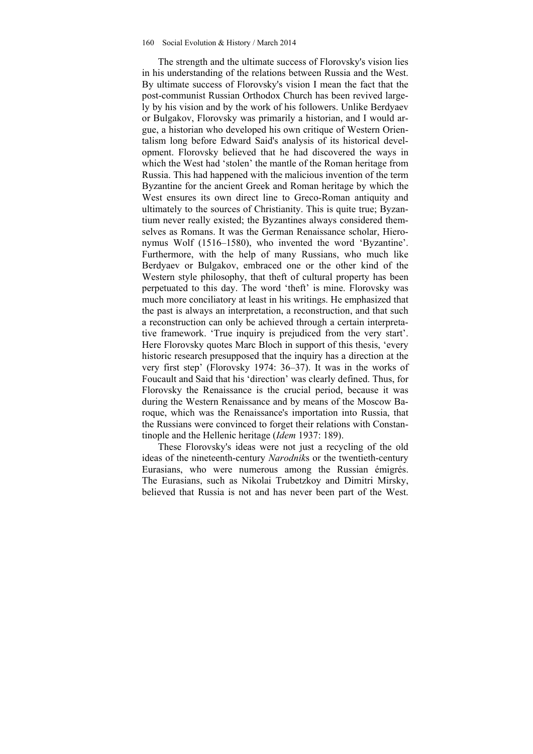The strength and the ultimate success of Florovsky's vision lies in his understanding of the relations between Russia and the West. By ultimate success of Florovsky's vision I mean the fact that the post-communist Russian Orthodox Church has been revived largely by his vision and by the work of his followers. Unlike Berdyaev or Bulgakov, Florovsky was primarily a historian, and I would argue, a historian who developed his own critique of Western Orientalism long before Edward Said's analysis of its historical development. Florovsky believed that he had discovered the ways in which the West had 'stolen' the mantle of the Roman heritage from Russia. This had happened with the malicious invention of the term Byzantine for the ancient Greek and Roman heritage by which the West ensures its own direct line to Greco-Roman antiquity and ultimately to the sources of Christianity. This is quite true; Byzantium never really existed; the Byzantines always considered themselves as Romans. It was the German Renaissance scholar, Hieronymus Wolf (1516–1580), who invented the word 'Byzantine'. Furthermore, with the help of many Russians, who much like Berdyaev or Bulgakov, embraced one or the other kind of the Western style philosophy, that theft of cultural property has been perpetuated to this day. The word 'theft' is mine. Florovsky was much more conciliatory at least in his writings. He emphasized that the past is always an interpretation, a reconstruction, and that such a reconstruction can only be achieved through a certain interpretative framework. 'True inquiry is prejudiced from the very start'. Here Florovsky quotes Marc Bloch in support of this thesis, 'every historic research presupposed that the inquiry has a direction at the very first step' (Florovsky 1974: 36–37). It was in the works of Foucault and Said that his 'direction' was clearly defined. Thus, for Florovsky the Renaissance is the crucial period, because it was during the Western Renaissance and by means of the Moscow Baroque, which was the Renaissance's importation into Russia, that the Russians were convinced to forget their relations with Constantinople and the Hellenic heritage (*Idem* 1937: 189).

These Florovsky's ideas were not just a recycling of the old ideas of the nineteenth-century *Narodnik*s or the twentieth-century Eurasians, who were numerous among the Russian émigrés. The Eurasians, such as Nikolai Trubetzkoy and Dimitri Mirsky, believed that Russia is not and has never been part of the West.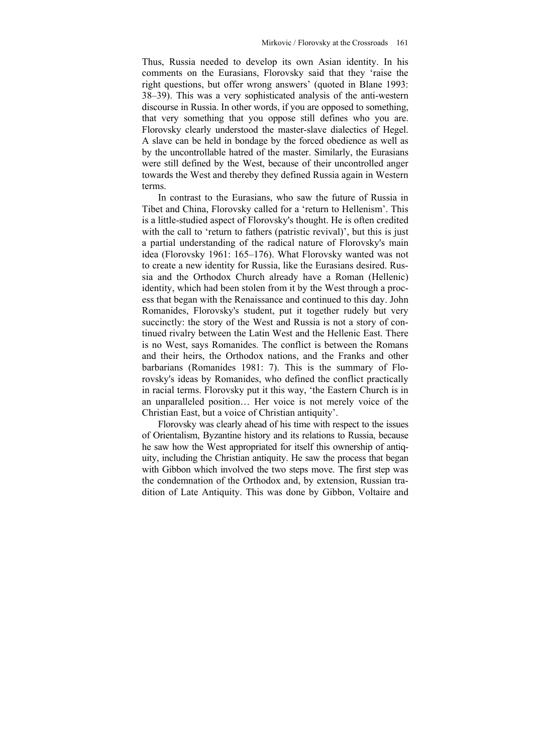Thus, Russia needed to develop its own Asian identity. In his comments on the Eurasians, Florovsky said that they 'raise the right questions, but offer wrong answers' (quoted in Blane 1993: 38–39). This was a very sophisticated analysis of the anti-western discourse in Russia. In other words, if you are opposed to something, that very something that you oppose still defines who you are. Florovsky clearly understood the master-slave dialectics of Hegel. A slave can be held in bondage by the forced obedience as well as by the uncontrollable hatred of the master. Similarly, the Eurasians were still defined by the West, because of their uncontrolled anger towards the West and thereby they defined Russia again in Western terms.

In contrast to the Eurasians, who saw the future of Russia in Tibet and China, Florovsky called for a 'return to Hellenism'. This is a little-studied aspect of Florovsky's thought. He is often credited with the call to 'return to fathers (patristic revival)', but this is just a partial understanding of the radical nature of Florovsky's main idea (Florovsky 1961: 165–176). What Florovsky wanted was not to create a new identity for Russia, like the Eurasians desired. Russia and the Orthodox Church already have a Roman (Hellenic) identity, which had been stolen from it by the West through a process that began with the Renaissance and continued to this day. John Romanides, Florovsky's student, put it together rudely but very succinctly: the story of the West and Russia is not a story of continued rivalry between the Latin West and the Hellenic East. There is no West, says Romanides. The conflict is between the Romans and their heirs, the Orthodox nations, and the Franks and other barbarians (Romanides 1981: 7). This is the summary of Florovsky's ideas by Romanides, who defined the conflict practically in racial terms. Florovsky put it this way, 'the Eastern Church is in an unparalleled position… Her voice is not merely voice of the Christian East, but a voice of Christian antiquity'.

Florovsky was clearly ahead of his time with respect to the issues of Orientalism, Byzantine history and its relations to Russia, because he saw how the West appropriated for itself this ownership of antiquity, including the Christian antiquity. He saw the process that began with Gibbon which involved the two steps move. The first step was the condemnation of the Orthodox and, by extension, Russian tradition of Late Antiquity. This was done by Gibbon, Voltaire and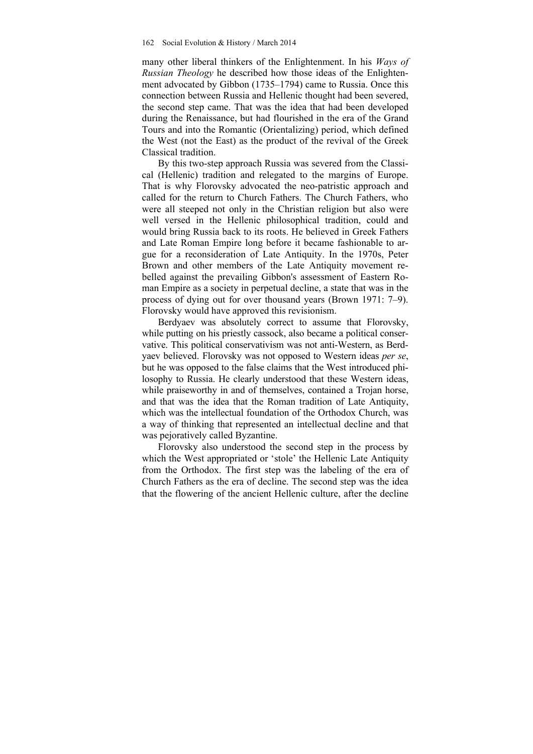many other liberal thinkers of the Enlightenment. In his *Ways of Russian Theology* he described how those ideas of the Enlightenment advocated by Gibbon (1735–1794) came to Russia. Once this connection between Russia and Hellenic thought had been severed, the second step came. That was the idea that had been developed during the Renaissance, but had flourished in the era of the Grand Tours and into the Romantic (Orientalizing) period, which defined the West (not the East) as the product of the revival of the Greek Classical tradition.

By this two-step approach Russia was severed from the Classical (Hellenic) tradition and relegated to the margins of Europe. That is why Florovsky advocated the neo-patristic approach and called for the return to Church Fathers. The Church Fathers, who were all steeped not only in the Christian religion but also were well versed in the Hellenic philosophical tradition, could and would bring Russia back to its roots. He believed in Greek Fathers and Late Roman Empire long before it became fashionable to argue for a reconsideration of Late Antiquity. In the 1970s, Peter Brown and other members of the Late Antiquity movement rebelled against the prevailing Gibbon's assessment of Eastern Roman Empire as a society in perpetual decline, a state that was in the process of dying out for over thousand years (Brown 1971: 7–9). Florovsky would have approved this revisionism.

Berdyaev was absolutely correct to assume that Florovsky, while putting on his priestly cassock, also became a political conservative. This political conservativism was not anti-Western, as Berdyaev believed. Florovsky was not opposed to Western ideas *per se*, but he was opposed to the false claims that the West introduced philosophy to Russia. He clearly understood that these Western ideas, while praiseworthy in and of themselves, contained a Trojan horse, and that was the idea that the Roman tradition of Late Antiquity, which was the intellectual foundation of the Orthodox Church, was a way of thinking that represented an intellectual decline and that was pejoratively called Byzantine.

Florovsky also understood the second step in the process by which the West appropriated or 'stole' the Hellenic Late Antiquity from the Orthodox. The first step was the labeling of the era of Church Fathers as the era of decline. The second step was the idea that the flowering of the ancient Hellenic culture, after the decline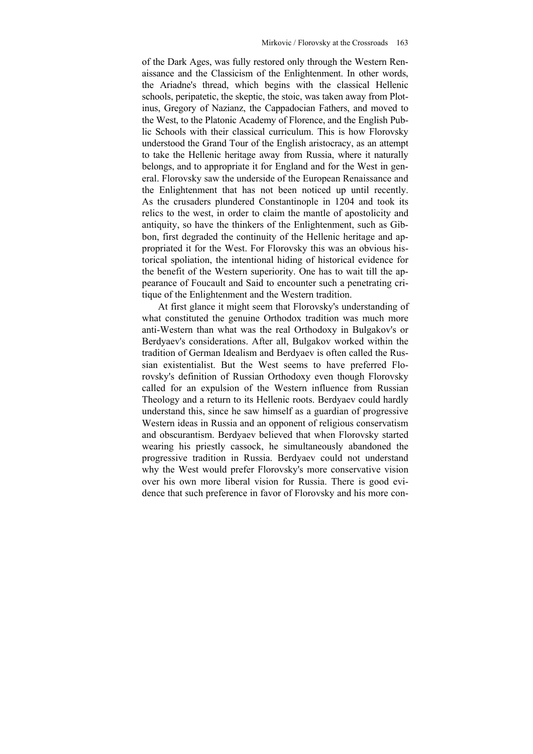of the Dark Ages, was fully restored only through the Western Renaissance and the Classicism of the Enlightenment. In other words, the Ariadne's thread, which begins with the classical Hellenic schools, peripatetic, the skeptic, the stoic, was taken away from Plotinus, Gregory of Nazianz, the Cappadocian Fathers, and moved to the West, to the Platonic Academy of Florence, and the English Public Schools with their classical curriculum. This is how Florovsky understood the Grand Tour of the English aristocracy, as an attempt to take the Hellenic heritage away from Russia, where it naturally belongs, and to appropriate it for England and for the West in general. Florovsky saw the underside of the European Renaissance and the Enlightenment that has not been noticed up until recently. As the crusaders plundered Constantinople in 1204 and took its relics to the west, in order to claim the mantle of apostolicity and antiquity, so have the thinkers of the Enlightenment, such as Gibbon, first degraded the continuity of the Hellenic heritage and appropriated it for the West. For Florovsky this was an obvious historical spoliation, the intentional hiding of historical evidence for the benefit of the Western superiority. One has to wait till the appearance of Foucault and Said to encounter such a penetrating critique of the Enlightenment and the Western tradition.

At first glance it might seem that Florovsky's understanding of what constituted the genuine Orthodox tradition was much more anti-Western than what was the real Orthodoxy in Bulgakov's or Berdyaev's considerations. After all, Bulgakov worked within the tradition of German Idealism and Berdyaev is often called the Russian existentialist. But the West seems to have preferred Florovsky's definition of Russian Orthodoxy even though Florovsky called for an expulsion of the Western influence from Russian Theology and a return to its Hellenic roots. Berdyaev could hardly understand this, since he saw himself as a guardian of progressive Western ideas in Russia and an opponent of religious conservatism and obscurantism. Berdyaev believed that when Florovsky started wearing his priestly cassock, he simultaneously abandoned the progressive tradition in Russia. Berdyaev could not understand why the West would prefer Florovsky's more conservative vision over his own more liberal vision for Russia. There is good evidence that such preference in favor of Florovsky and his more con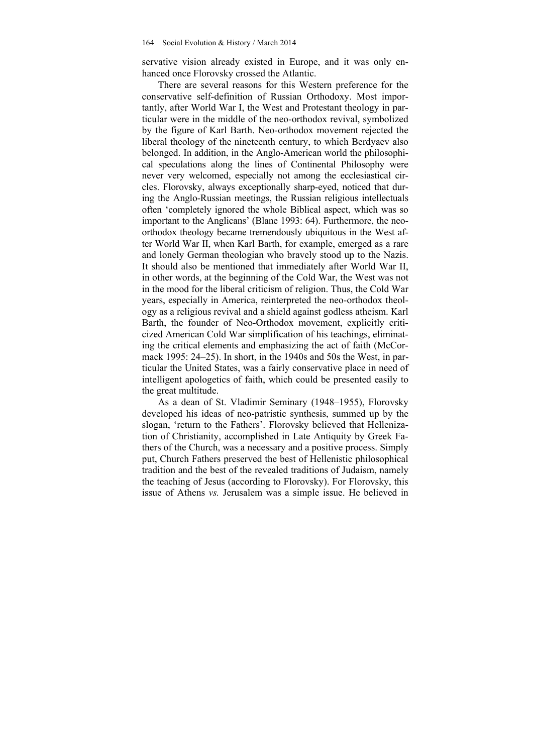servative vision already existed in Europe, and it was only enhanced once Florovsky crossed the Atlantic.

There are several reasons for this Western preference for the conservative self-definition of Russian Orthodoxy. Most importantly, after World War I, the West and Protestant theology in particular were in the middle of the neo-orthodox revival, symbolized by the figure of Karl Barth. Neo-orthodox movement rejected the liberal theology of the nineteenth century, to which Berdyaev also belonged. In addition, in the Anglo-American world the philosophical speculations along the lines of Continental Philosophy were never very welcomed, especially not among the ecclesiastical circles. Florovsky, always exceptionally sharp-eyed, noticed that during the Anglo-Russian meetings, the Russian religious intellectuals often 'completely ignored the whole Biblical aspect, which was so important to the Anglicans' (Blane 1993: 64). Furthermore, the neoorthodox theology became tremendously ubiquitous in the West after World War II, when Karl Barth, for example, emerged as a rare and lonely German theologian who bravely stood up to the Nazis. It should also be mentioned that immediately after World War II, in other words, at the beginning of the Cold War, the West was not in the mood for the liberal criticism of religion. Thus, the Cold War years, especially in America, reinterpreted the neo-orthodox theology as a religious revival and a shield against godless atheism. Karl Barth, the founder of Neo-Orthodox movement, explicitly criticized American Cold War simplification of his teachings, eliminating the critical elements and emphasizing the act of faith (McCormack 1995: 24–25). In short, in the 1940s and 50s the West, in particular the United States, was a fairly conservative place in need of intelligent apologetics of faith, which could be presented easily to the great multitude.

As a dean of St. Vladimir Seminary (1948–1955), Florovsky developed his ideas of neo-patristic synthesis, summed up by the slogan, 'return to the Fathers'. Florovsky believed that Hellenization of Christianity, accomplished in Late Antiquity by Greek Fathers of the Church, was a necessary and a positive process. Simply put, Church Fathers preserved the best of Hellenistic philosophical tradition and the best of the revealed traditions of Judaism, namely the teaching of Jesus (according to Florovsky). For Florovsky, this issue of Athens *vs.* Jerusalem was a simple issue. He believed in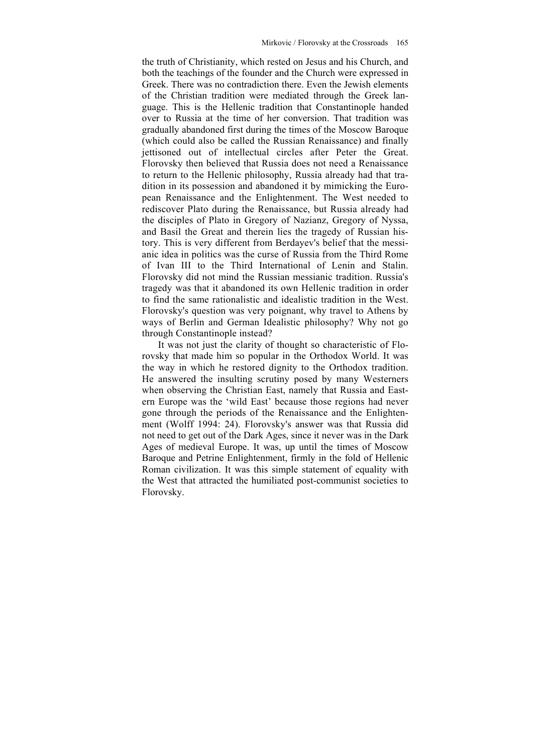the truth of Christianity, which rested on Jesus and his Church, and both the teachings of the founder and the Church were expressed in Greek. There was no contradiction there. Even the Jewish elements of the Christian tradition were mediated through the Greek language. This is the Hellenic tradition that Constantinople handed over to Russia at the time of her conversion. That tradition was gradually abandoned first during the times of the Moscow Baroque (which could also be called the Russian Renaissance) and finally jettisoned out of intellectual circles after Peter the Great. Florovsky then believed that Russia does not need a Renaissance to return to the Hellenic philosophy, Russia already had that tradition in its possession and abandoned it by mimicking the European Renaissance and the Enlightenment. The West needed to rediscover Plato during the Renaissance, but Russia already had the disciples of Plato in Gregory of Nazianz, Gregory of Nyssa, and Basil the Great and therein lies the tragedy of Russian history. This is very different from Berdayev's belief that the messianic idea in politics was the curse of Russia from the Third Rome of Ivan III to the Third International of Lenin and Stalin. Florovsky did not mind the Russian messianic tradition. Russia's tragedy was that it abandoned its own Hellenic tradition in order to find the same rationalistic and idealistic tradition in the West. Florovsky's question was very poignant, why travel to Athens by ways of Berlin and German Idealistic philosophy? Why not go through Constantinople instead?

It was not just the clarity of thought so characteristic of Florovsky that made him so popular in the Orthodox World. It was the way in which he restored dignity to the Orthodox tradition. He answered the insulting scrutiny posed by many Westerners when observing the Christian East, namely that Russia and Eastern Europe was the 'wild East' because those regions had never gone through the periods of the Renaissance and the Enlightenment (Wolff 1994: 24). Florovsky's answer was that Russia did not need to get out of the Dark Ages, since it never was in the Dark Ages of medieval Europe. It was, up until the times of Moscow Baroque and Petrine Enlightenment, firmly in the fold of Hellenic Roman civilization. It was this simple statement of equality with the West that attracted the humiliated post-communist societies to Florovsky.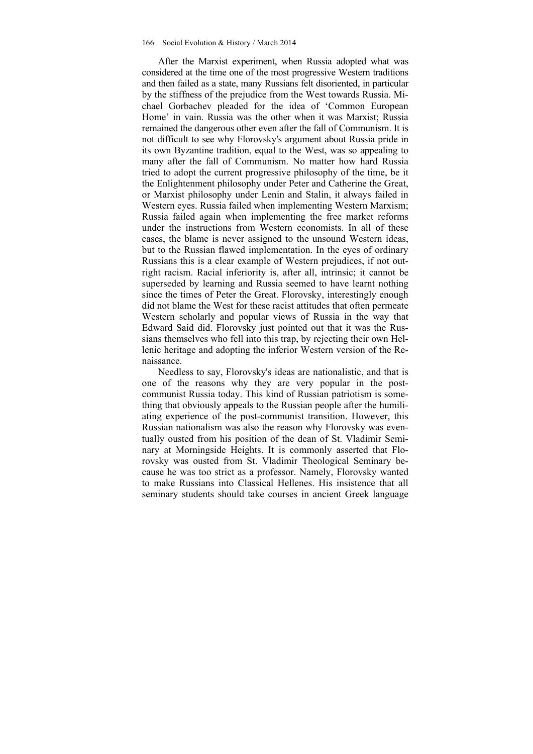After the Marxist experiment, when Russia adopted what was considered at the time one of the most progressive Western traditions and then failed as a state, many Russians felt disoriented, in particular by the stiffness of the prejudice from the West towards Russia. Michael Gorbachev pleaded for the idea of 'Common European Home' in vain. Russia was the other when it was Marxist; Russia remained the dangerous other even after the fall of Communism. It is not difficult to see why Florovsky's argument about Russia pride in its own Byzantine tradition, equal to the West, was so appealing to many after the fall of Communism. No matter how hard Russia tried to adopt the current progressive philosophy of the time, be it the Enlightenment philosophy under Peter and Catherine the Great, or Marxist philosophy under Lenin and Stalin, it always failed in Western eyes. Russia failed when implementing Western Marxism; Russia failed again when implementing the free market reforms under the instructions from Western economists. In all of these cases, the blame is never assigned to the unsound Western ideas, but to the Russian flawed implementation. In the eyes of ordinary Russians this is a clear example of Western prejudices, if not outright racism. Racial inferiority is, after all, intrinsic; it cannot be superseded by learning and Russia seemed to have learnt nothing since the times of Peter the Great. Florovsky, interestingly enough did not blame the West for these racist attitudes that often permeate Western scholarly and popular views of Russia in the way that Edward Said did. Florovsky just pointed out that it was the Russians themselves who fell into this trap, by rejecting their own Hellenic heritage and adopting the inferior Western version of the Renaissance.

Needless to say, Florovsky's ideas are nationalistic, and that is one of the reasons why they are very popular in the postcommunist Russia today. This kind of Russian patriotism is something that obviously appeals to the Russian people after the humiliating experience of the post-communist transition. However, this Russian nationalism was also the reason why Florovsky was eventually ousted from his position of the dean of St. Vladimir Seminary at Morningside Heights. It is commonly asserted that Florovsky was ousted from St. Vladimir Theological Seminary because he was too strict as a professor. Namely, Florovsky wanted to make Russians into Classical Hellenes. His insistence that all seminary students should take courses in ancient Greek language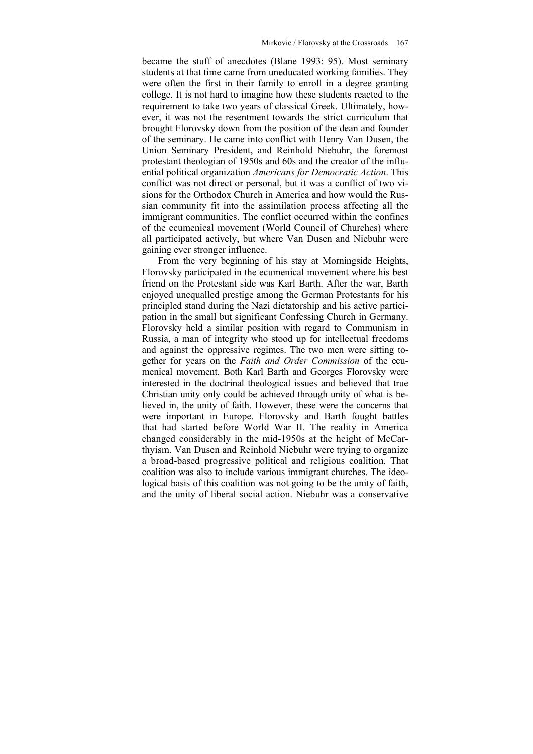became the stuff of anecdotes (Blane 1993: 95). Most seminary students at that time came from uneducated working families. They were often the first in their family to enroll in a degree granting college. It is not hard to imagine how these students reacted to the requirement to take two years of classical Greek. Ultimately, however, it was not the resentment towards the strict curriculum that brought Florovsky down from the position of the dean and founder of the seminary. He came into conflict with Henry Van Dusen, the Union Seminary President, and Reinhold Niebuhr, the foremost protestant theologian of 1950s and 60s and the creator of the influential political organization *Americans for Democratic Action*. This conflict was not direct or personal, but it was a conflict of two visions for the Orthodox Church in America and how would the Russian community fit into the assimilation process affecting all the immigrant communities. The conflict occurred within the confines of the ecumenical movement (World Council of Churches) where all participated actively, but where Van Dusen and Niebuhr were gaining ever stronger influence.

From the very beginning of his stay at Morningside Heights, Florovsky participated in the ecumenical movement where his best friend on the Protestant side was Karl Barth. After the war, Barth enjoyed unequalled prestige among the German Protestants for his principled stand during the Nazi dictatorship and his active participation in the small but significant Confessing Church in Germany. Florovsky held a similar position with regard to Communism in Russia, a man of integrity who stood up for intellectual freedoms and against the oppressive regimes. The two men were sitting together for years on the *Faith and Order Commission* of the ecumenical movement. Both Karl Barth and Georges Florovsky were interested in the doctrinal theological issues and believed that true Christian unity only could be achieved through unity of what is believed in, the unity of faith. However, these were the concerns that were important in Europe. Florovsky and Barth fought battles that had started before World War II. The reality in America changed considerably in the mid-1950s at the height of McCarthyism. Van Dusen and Reinhold Niebuhr were trying to organize a broad-based progressive political and religious coalition. That coalition was also to include various immigrant churches. The ideological basis of this coalition was not going to be the unity of faith, and the unity of liberal social action. Niebuhr was a conservative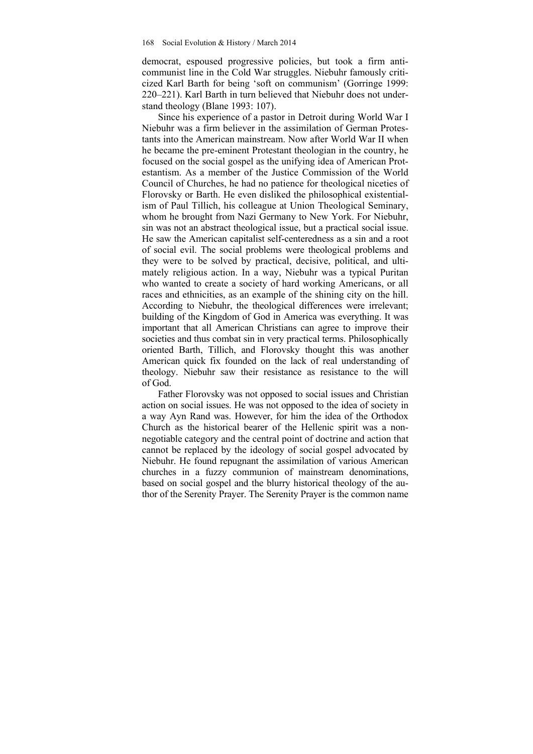democrat, espoused progressive policies, but took a firm anticommunist line in the Cold War struggles. Niebuhr famously criticized Karl Barth for being 'soft on communism' (Gorringe 1999: 220–221). Karl Barth in turn believed that Niebuhr does not understand theology (Blane 1993: 107).

Since his experience of a pastor in Detroit during World War I Niebuhr was a firm believer in the assimilation of German Protestants into the American mainstream. Now after World War II when he became the pre-eminent Protestant theologian in the country, he focused on the social gospel as the unifying idea of American Protestantism. As a member of the Justice Commission of the World Council of Churches, he had no patience for theological niceties of Florovsky or Barth. He even disliked the philosophical existentialism of Paul Tillich, his colleague at Union Theological Seminary, whom he brought from Nazi Germany to New York. For Niebuhr, sin was not an abstract theological issue, but a practical social issue. He saw the American capitalist self-centeredness as a sin and a root of social evil. The social problems were theological problems and they were to be solved by practical, decisive, political, and ultimately religious action. In a way, Niebuhr was a typical Puritan who wanted to create a society of hard working Americans, or all races and ethnicities, as an example of the shining city on the hill. According to Niebuhr, the theological differences were irrelevant; building of the Kingdom of God in America was everything. It was important that all American Christians can agree to improve their societies and thus combat sin in very practical terms. Philosophically oriented Barth, Tillich, and Florovsky thought this was another American quick fix founded on the lack of real understanding of theology. Niebuhr saw their resistance as resistance to the will of God.

Father Florovsky was not opposed to social issues and Christian action on social issues. He was not opposed to the idea of society in a way Ayn Rand was. However, for him the idea of the Orthodox Church as the historical bearer of the Hellenic spirit was a nonnegotiable category and the central point of doctrine and action that cannot be replaced by the ideology of social gospel advocated by Niebuhr. He found repugnant the assimilation of various American churches in a fuzzy communion of mainstream denominations, based on social gospel and the blurry historical theology of the author of the Serenity Prayer. The Serenity Prayer is the common name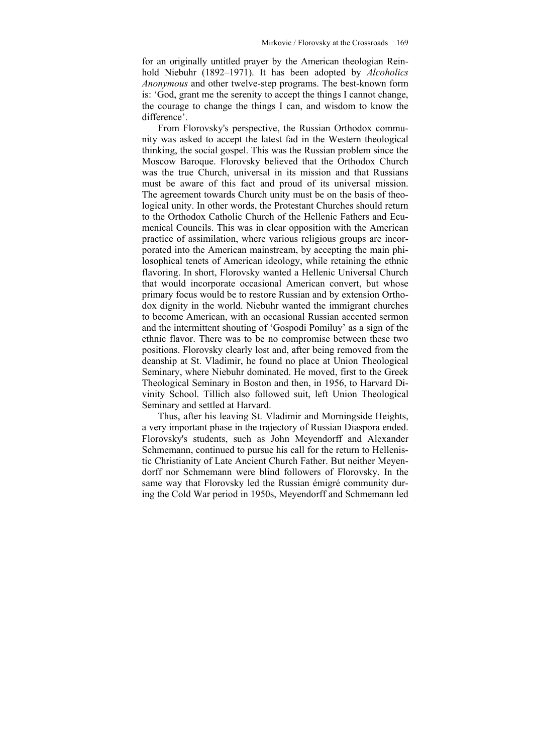for an originally untitled prayer by the American theologian Reinhold Niebuhr (1892–1971). It has been adopted by *Alcoholics Anonymous* and other twelve-step programs. The best-known form is: 'God, grant me the serenity to accept the things I cannot change, the courage to change the things I can, and wisdom to know the difference'.

From Florovsky's perspective, the Russian Orthodox community was asked to accept the latest fad in the Western theological thinking, the social gospel. This was the Russian problem since the Moscow Baroque. Florovsky believed that the Orthodox Church was the true Church, universal in its mission and that Russians must be aware of this fact and proud of its universal mission. The agreement towards Church unity must be on the basis of theological unity. In other words, the Protestant Churches should return to the Orthodox Catholic Church of the Hellenic Fathers and Ecumenical Councils. This was in clear opposition with the American practice of assimilation, where various religious groups are incorporated into the American mainstream, by accepting the main philosophical tenets of American ideology, while retaining the ethnic flavoring. In short, Florovsky wanted a Hellenic Universal Church that would incorporate occasional American convert, but whose primary focus would be to restore Russian and by extension Orthodox dignity in the world. Niebuhr wanted the immigrant churches to become American, with an occasional Russian accented sermon and the intermittent shouting of 'Gospodi Pomiluy' as a sign of the ethnic flavor. There was to be no compromise between these two positions. Florovsky clearly lost and, after being removed from the deanship at St. Vladimir, he found no place at Union Theological Seminary, where Niebuhr dominated. He moved, first to the Greek Theological Seminary in Boston and then, in 1956, to Harvard Divinity School. Tillich also followed suit, left Union Theological Seminary and settled at Harvard.

Thus, after his leaving St. Vladimir and Morningside Heights, a very important phase in the trajectory of Russian Diaspora ended. Florovsky's students, such as John Meyendorff and Alexander Schmemann, continued to pursue his call for the return to Hellenistic Christianity of Late Ancient Church Father. But neither Meyendorff nor Schmemann were blind followers of Florovsky. In the same way that Florovsky led the Russian émigré community during the Cold War period in 1950s, Meyendorff and Schmemann led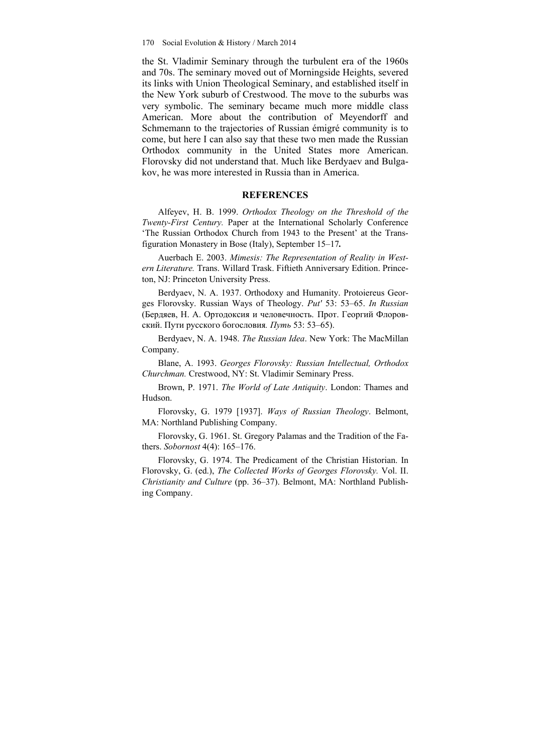the St. Vladimir Seminary through the turbulent era of the 1960s and 70s. The seminary moved out of Morningside Heights, severed its links with Union Theological Seminary, and established itself in the New York suburb of Crestwood. The move to the suburbs was very symbolic. The seminary became much more middle class American. More about the contribution of Meyendorff and Schmemann to the trajectories of Russian émigré community is to come, but here I can also say that these two men made the Russian Orthodox community in the United States more American. Florovsky did not understand that. Much like Berdyaev and Bulgakov, he was more interested in Russia than in America.

## **REFERENCES**

Alfeyev, H. B. 1999. *Orthodox Theology on the Threshold of the Twenty-First Century.* Paper at the International Scholarly Conference 'The Russian Orthodox Church from 1943 to the Present' at the Transfiguration Monastery in Bose (Italy), September 15–17*.*

Auerbach E. 2003. *Mimesis: The Representation of Reality in Western Literature.* Trans. Willard Trask. Fiftieth Anniversary Edition. Princeton, NJ: Princeton University Press.

Berdyaev, N. A. 1937. Orthodoxy and Humanity. Protoiereus Georges Florovsky. Russian Ways of Theology. *Put'* 53: 53–65. *In Russian* (Бердяев, Н. А. Ортодоксия и человечность. Прот. Георгий Флоровский. Пути русского богословия*. Путь* 53: 53–65).

Berdyaev, N. A. 1948. *The Russian Idea*. New York: The MacMillan Company.

Blane, A. 1993. *Georges Florovsky: Russian Intellectual, Orthodox Churchman.* Crestwood, NY: St. Vladimir Seminary Press.

Brown, P. 1971. *The World of Late Antiquity*. London: Thames and Hudson.

Florovsky, G. 1979 [1937]. *Ways of Russian Theology*. Belmont, MA: Northland Publishing Company.

Florovsky, G. 1961. St. Gregory Palamas and the Tradition of the Fathers. *Sobornost* 4(4): 165–176.

Florovsky, G. 1974. The Predicament of the Christian Historian. In Florovsky, G. (ed.), *The Collected Works of Georges Florovsky.* Vol. II. *Christianity and Culture* (pp. 36–37). Belmont, MA: Northland Publishing Company.